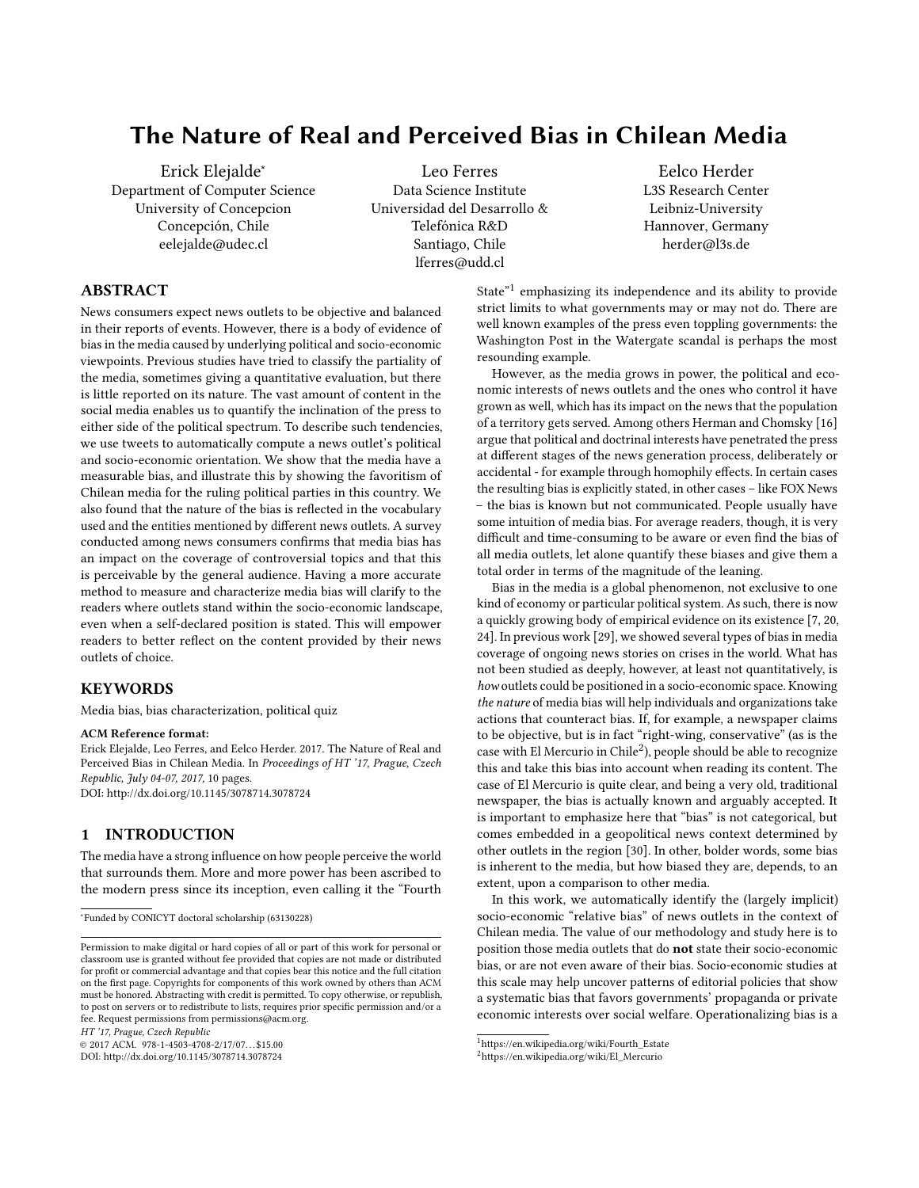# <span id="page-0-2"></span>The Nature of Real and Perceived Bias in Chilean Media

Erick Elejalde<sup>∗</sup> Department of Computer Science University of Concepcion Concepción, Chile eelejalde@udec.cl

Leo Ferres Data Science Institute Universidad del Desarrollo & Telefónica R&D Santiago, Chile lferres@udd.cl

# Eelco Herder L3S Research Center Leibniz-University Hannover, Germany herder@l3s.de

# ABSTRACT

News consumers expect news outlets to be objective and balanced in their reports of events. However, there is a body of evidence of bias in the media caused by underlying political and socio-economic viewpoints. Previous studies have tried to classify the partiality of the media, sometimes giving a quantitative evaluation, but there is little reported on its nature. The vast amount of content in the social media enables us to quantify the inclination of the press to either side of the political spectrum. To describe such tendencies, we use tweets to automatically compute a news outlet's political and socio-economic orientation. We show that the media have a measurable bias, and illustrate this by showing the favoritism of Chilean media for the ruling political parties in this country. We also found that the nature of the bias is reflected in the vocabulary used and the entities mentioned by different news outlets. A survey conducted among news consumers confirms that media bias has an impact on the coverage of controversial topics and that this is perceivable by the general audience. Having a more accurate method to measure and characterize media bias will clarify to the readers where outlets stand within the socio-economic landscape, even when a self-declared position is stated. This will empower readers to better reflect on the content provided by their news outlets of choice.

#### **KEYWORDS**

Media bias, bias characterization, political quiz

#### ACM Reference format:

Erick Elejalde, Leo Ferres, and Eelco Herder. 2017. The Nature of Real and Perceived Bias in Chilean Media. In Proceedings of HT '17, Prague, Czech Republic, July 04-07, 2017, [10](#page-9-0) pages.

DOI: http://dx.doi.org/10.1145/3078714.3078724

#### 1 INTRODUCTION

The media have a strong influence on how people perceive the world that surrounds them. More and more power has been ascribed to the modern press since its inception, even calling it the "Fourth

HT '17, Prague, Czech Republic

© 2017 ACM. 978-1-4503-4708-2/17/07. . . \$15.00 DOI: http://dx.doi.org/10.1145/3078714.3078724

State<sup>"[1](#page-0-0)</sup> emphasizing its independence and its ability to provide strict limits to what governments may or may not do. There are well known examples of the press even toppling governments: the Washington Post in the Watergate scandal is perhaps the most resounding example.

However, as the media grows in power, the political and economic interests of news outlets and the ones who control it have grown as well, which has its impact on the news that the population of a territory gets served. Among others Herman and Chomsky [\[16\]](#page-9-1) argue that political and doctrinal interests have penetrated the press at different stages of the news generation process, deliberately or accidental - for example through homophily effects. In certain cases the resulting bias is explicitly stated, in other cases – like FOX News – the bias is known but not communicated. People usually have some intuition of media bias. For average readers, though, it is very difficult and time-consuming to be aware or even find the bias of all media outlets, let alone quantify these biases and give them a total order in terms of the magnitude of the leaning.

Bias in the media is a global phenomenon, not exclusive to one kind of economy or particular political system. As such, there is now a quickly growing body of empirical evidence on its existence [\[7,](#page-9-2) [20,](#page-9-3) [24\]](#page-9-4). In previous work [\[29\]](#page-9-5), we showed several types of bias in media coverage of ongoing news stories on crises in the world. What has not been studied as deeply, however, at least not quantitatively, is how outlets could be positioned in a socio-economic space. Knowing the nature of media bias will help individuals and organizations take actions that counteract bias. If, for example, a newspaper claims to be objective, but is in fact "right-wing, conservative" (as is the case with El Mercurio in Chile<sup>[2](#page-0-1)</sup>), people should be able to recognize this and take this bias into account when reading its content. The case of El Mercurio is quite clear, and being a very old, traditional newspaper, the bias is actually known and arguably accepted. It is important to emphasize here that "bias" is not categorical, but comes embedded in a geopolitical news context determined by other outlets in the region [\[30\]](#page-9-6). In other, bolder words, some bias is inherent to the media, but how biased they are, depends, to an extent, upon a comparison to other media.

In this work, we automatically identify the (largely implicit) socio-economic "relative bias" of news outlets in the context of Chilean media. The value of our methodology and study here is to position those media outlets that do not state their socio-economic bias, or are not even aware of their bias. Socio-economic studies at this scale may help uncover patterns of editorial policies that show a systematic bias that favors governments' propaganda or private economic interests over social welfare. Operationalizing bias is a

<sup>∗</sup> Funded by CONICYT doctoral scholarship (63130228)

Permission to make digital or hard copies of all or part of this work for personal or classroom use is granted without fee provided that copies are not made or distributed for profit or commercial advantage and that copies bear this notice and the full citation on the first page. Copyrights for components of this work owned by others than ACM must be honored. Abstracting with credit is permitted. To copy otherwise, or republish, to post on servers or to redistribute to lists, requires prior specific permission and/or a fee. Request permissions from permissions@acm.org.

<span id="page-0-0"></span><sup>1</sup>[https://en.wikipedia.org/wiki/Fourth\\_Estate](https://en.wikipedia.org/wiki/Fourth_Estate)

<span id="page-0-1"></span><sup>2</sup>[https://en.wikipedia.org/wiki/El\\_Mercurio](https://en.wikipedia.org/wiki/El_Mercurio)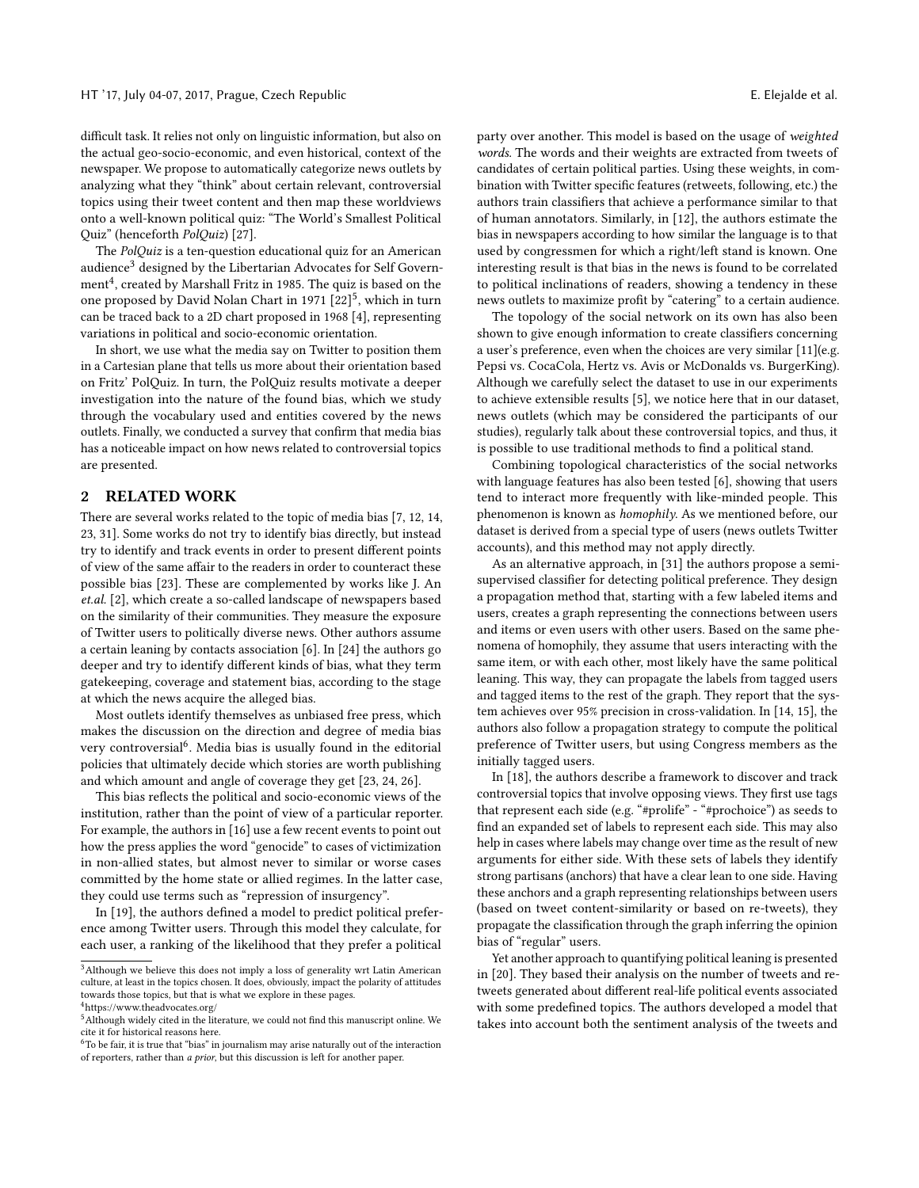difficult task. It relies not only on linguistic information, but also on the actual geo-socio-economic, and even historical, context of the newspaper. We propose to automatically categorize news outlets by analyzing what they "think" about certain relevant, controversial topics using their tweet content and then map these worldviews onto a well-known political quiz: "The World's Smallest Political Quiz" (henceforth PolQuiz) [\[27\]](#page-9-7).

The PolQuiz is a ten-question educational quiz for an American audience<sup>[3](#page-1-0)</sup> designed by the Libertarian Advocates for Self Govern-ment<sup>[4](#page-1-1)</sup>, created by Marshall Fritz in 1985. The quiz is based on the one proposed by David Nolan Chart in 1971  $[22]^5$  $[22]^5$  $[22]^5$ , which in turn can be traced back to a 2D chart proposed in 1968 [\[4\]](#page-9-9), representing variations in political and socio-economic orientation.

In short, we use what the media say on Twitter to position them in a Cartesian plane that tells us more about their orientation based on Fritz' PolQuiz. In turn, the PolQuiz results motivate a deeper investigation into the nature of the found bias, which we study through the vocabulary used and entities covered by the news outlets. Finally, we conducted a survey that confirm that media bias has a noticeable impact on how news related to controversial topics are presented.

# 2 RELATED WORK

There are several works related to the topic of media bias [\[7,](#page-9-2) [12,](#page-9-10) [14,](#page-9-11) [23,](#page-9-12) [31\]](#page-9-13). Some works do not try to identify bias directly, but instead try to identify and track events in order to present different points of view of the same affair to the readers in order to counteract these possible bias [\[23\]](#page-9-12). These are complemented by works like J. An et.al. [\[2\]](#page-9-14), which create a so-called landscape of newspapers based on the similarity of their communities. They measure the exposure of Twitter users to politically diverse news. Other authors assume a certain leaning by contacts association [\[6\]](#page-9-15). In [\[24\]](#page-9-4) the authors go deeper and try to identify different kinds of bias, what they term gatekeeping, coverage and statement bias, according to the stage at which the news acquire the alleged bias.

Most outlets identify themselves as unbiased free press, which makes the discussion on the direction and degree of media bias very controversial<sup>[6](#page-1-3)</sup>. Media bias is usually found in the editorial policies that ultimately decide which stories are worth publishing and which amount and angle of coverage they get [\[23,](#page-9-12) [24,](#page-9-4) [26\]](#page-9-16).

This bias reflects the political and socio-economic views of the institution, rather than the point of view of a particular reporter. For example, the authors in [\[16\]](#page-9-1) use a few recent events to point out how the press applies the word "genocide" to cases of victimization in non-allied states, but almost never to similar or worse cases committed by the home state or allied regimes. In the latter case, they could use terms such as "repression of insurgency".

In [\[19\]](#page-9-17), the authors defined a model to predict political preference among Twitter users. Through this model they calculate, for each user, a ranking of the likelihood that they prefer a political

party over another. This model is based on the usage of weighted words. The words and their weights are extracted from tweets of candidates of certain political parties. Using these weights, in combination with Twitter specific features (retweets, following, etc.) the authors train classifiers that achieve a performance similar to that of human annotators. Similarly, in [\[12\]](#page-9-10), the authors estimate the bias in newspapers according to how similar the language is to that used by congressmen for which a right/left stand is known. One interesting result is that bias in the news is found to be correlated to political inclinations of readers, showing a tendency in these news outlets to maximize profit by "catering" to a certain audience.

The topology of the social network on its own has also been shown to give enough information to create classifiers concerning a user's preference, even when the choices are very similar [\[11\]](#page-9-18)(e.g. Pepsi vs. CocaCola, Hertz vs. Avis or McDonalds vs. BurgerKing). Although we carefully select the dataset to use in our experiments to achieve extensible results [\[5\]](#page-9-19), we notice here that in our dataset, news outlets (which may be considered the participants of our studies), regularly talk about these controversial topics, and thus, it is possible to use traditional methods to find a political stand.

Combining topological characteristics of the social networks with language features has also been tested [\[6\]](#page-9-15), showing that users tend to interact more frequently with like-minded people. This phenomenon is known as homophily. As we mentioned before, our dataset is derived from a special type of users (news outlets Twitter accounts), and this method may not apply directly.

As an alternative approach, in [\[31\]](#page-9-13) the authors propose a semisupervised classifier for detecting political preference. They design a propagation method that, starting with a few labeled items and users, creates a graph representing the connections between users and items or even users with other users. Based on the same phenomena of homophily, they assume that users interacting with the same item, or with each other, most likely have the same political leaning. This way, they can propagate the labels from tagged users and tagged items to the rest of the graph. They report that the system achieves over 95% precision in cross-validation. In [\[14,](#page-9-11) [15\]](#page-9-20), the authors also follow a propagation strategy to compute the political preference of Twitter users, but using Congress members as the initially tagged users.

In [\[18\]](#page-9-21), the authors describe a framework to discover and track controversial topics that involve opposing views. They first use tags that represent each side (e.g. "#prolife" - "#prochoice") as seeds to find an expanded set of labels to represent each side. This may also help in cases where labels may change over time as the result of new arguments for either side. With these sets of labels they identify strong partisans (anchors) that have a clear lean to one side. Having these anchors and a graph representing relationships between users (based on tweet content-similarity or based on re-tweets), they propagate the classification through the graph inferring the opinion bias of "regular" users.

Yet another approach to quantifying political leaning is presented in [\[20\]](#page-9-3). They based their analysis on the number of tweets and retweets generated about different real-life political events associated with some predefined topics. The authors developed a model that takes into account both the sentiment analysis of the tweets and

<span id="page-1-0"></span><sup>3</sup>Although we believe this does not imply a loss of generality wrt Latin American culture, at least in the topics chosen. It does, obviously, impact the polarity of attitudes towards those topics, but that is what we explore in these pages.

<span id="page-1-1"></span><sup>4</sup><https://www.theadvocates.org/>

<span id="page-1-2"></span> $^5\rm Al though$  widely cited in the literature, we could not find this manuscript online. We cite it for historical reasons here.

<span id="page-1-3"></span> ${}^{6}$  To be fair, it is true that "bias" in journalism may arise naturally out of the interaction of reporters, rather than a prior, but this discussion is left for another paper.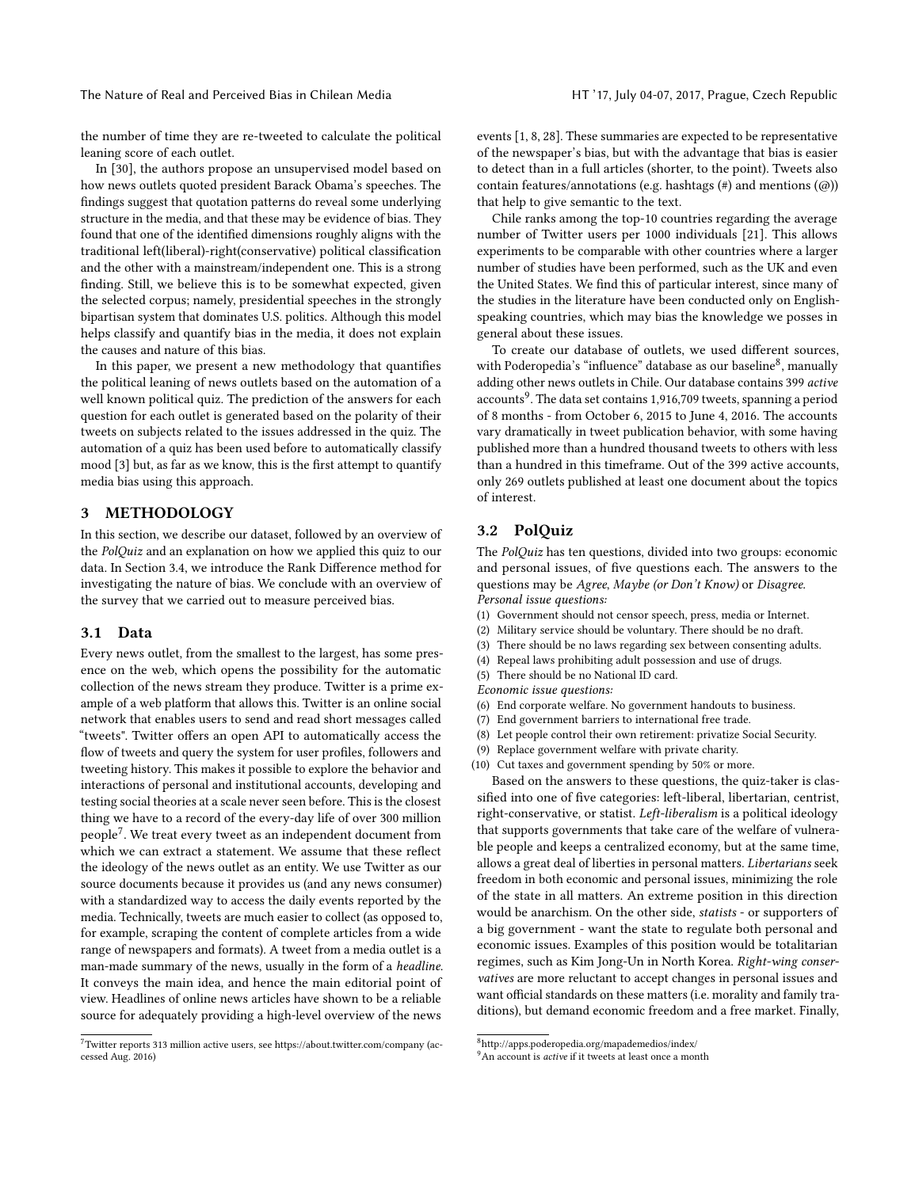The Nature of Real and Perceived Bias in Chilean Media HT 17, July 04-07, 2017, Prague, Czech Republic

the number of time they are re-tweeted to calculate the political leaning score of each outlet.

In [\[30\]](#page-9-6), the authors propose an unsupervised model based on how news outlets quoted president Barack Obama's speeches. The findings suggest that quotation patterns do reveal some underlying structure in the media, and that these may be evidence of bias. They found that one of the identified dimensions roughly aligns with the traditional left(liberal)-right(conservative) political classification and the other with a mainstream/independent one. This is a strong finding. Still, we believe this is to be somewhat expected, given the selected corpus; namely, presidential speeches in the strongly bipartisan system that dominates U.S. politics. Although this model helps classify and quantify bias in the media, it does not explain the causes and nature of this bias.

In this paper, we present a new methodology that quantifies the political leaning of news outlets based on the automation of a well known political quiz. The prediction of the answers for each question for each outlet is generated based on the polarity of their tweets on subjects related to the issues addressed in the quiz. The automation of a quiz has been used before to automatically classify mood [\[3\]](#page-9-22) but, as far as we know, this is the first attempt to quantify media bias using this approach.

#### 3 METHODOLOGY

In this section, we describe our dataset, followed by an overview of the PolQuiz and an explanation on how we applied this quiz to our data. In Section [3.4,](#page-4-0) we introduce the Rank Difference method for investigating the nature of bias. We conclude with an overview of the survey that we carried out to measure perceived bias.

### 3.1 Data

Every news outlet, from the smallest to the largest, has some presence on the web, which opens the possibility for the automatic collection of the news stream they produce. Twitter is a prime example of a web platform that allows this. Twitter is an online social network that enables users to send and read short messages called "tweets". Twitter offers an open API to automatically access the flow of tweets and query the system for user profiles, followers and tweeting history. This makes it possible to explore the behavior and interactions of personal and institutional accounts, developing and testing social theories at a scale never seen before. This is the closest thing we have to a record of the every-day life of over 300 million people $^7$  $^7$ . We treat every tweet as an independent document from which we can extract a statement. We assume that these reflect the ideology of the news outlet as an entity. We use Twitter as our source documents because it provides us (and any news consumer) with a standardized way to access the daily events reported by the media. Technically, tweets are much easier to collect (as opposed to, for example, scraping the content of complete articles from a wide range of newspapers and formats). A tweet from a media outlet is a man-made summary of the news, usually in the form of a headline. It conveys the main idea, and hence the main editorial point of view. Headlines of online news articles have shown to be a reliable source for adequately providing a high-level overview of the news

events [\[1,](#page-9-23) [8,](#page-9-24) [28\]](#page-9-25). These summaries are expected to be representative of the newspaper's bias, but with the advantage that bias is easier to detect than in a full articles (shorter, to the point). Tweets also contain features/annotations (e.g. hashtags (#) and mentions (@)) that help to give semantic to the text.

Chile ranks among the top-10 countries regarding the average number of Twitter users per 1000 individuals [\[21\]](#page-9-26). This allows experiments to be comparable with other countries where a larger number of studies have been performed, such as the UK and even the United States. We find this of particular interest, since many of the studies in the literature have been conducted only on Englishspeaking countries, which may bias the knowledge we posses in general about these issues.

To create our database of outlets, we used different sources, with Poderopedia's "influence" database as our baseline<sup>[8](#page-2-1)</sup>, manually adding other news outlets in Chile. Our database contains 399 active accounts $^{9}$  $^{9}$  $^{9}$ . The data set contains 1,916,709 tweets, spanning a period of 8 months - from October 6, 2015 to June 4, 2016. The accounts vary dramatically in tweet publication behavior, with some having published more than a hundred thousand tweets to others with less than a hundred in this timeframe. Out of the 399 active accounts, only 269 outlets published at least one document about the topics of interest.

## <span id="page-2-3"></span>3.2 PolQuiz

The PolQuiz has ten questions, divided into two groups: economic and personal issues, of five questions each. The answers to the questions may be Agree, Maybe (or Don't Know) or Disagree. Personal issue questions:

- (1) Government should not censor speech, press, media or Internet.
- (2) Military service should be voluntary. There should be no draft.
- (3) There should be no laws regarding sex between consenting adults.
- (4) Repeal laws prohibiting adult possession and use of drugs.
- (5) There should be no National ID card.
- Economic issue questions:
- (6) End corporate welfare. No government handouts to business.
- (7) End government barriers to international free trade.
- (8) Let people control their own retirement: privatize Social Security.
- (9) Replace government welfare with private charity.
- (10) Cut taxes and government spending by 50% or more.

Based on the answers to these questions, the quiz-taker is classified into one of five categories: left-liberal, libertarian, centrist, right-conservative, or statist. Left-liberalism is a political ideology that supports governments that take care of the welfare of vulnerable people and keeps a centralized economy, but at the same time, allows a great deal of liberties in personal matters. Libertarians seek freedom in both economic and personal issues, minimizing the role of the state in all matters. An extreme position in this direction would be anarchism. On the other side, statists - or supporters of a big government - want the state to regulate both personal and economic issues. Examples of this position would be totalitarian regimes, such as Kim Jong-Un in North Korea. Right-wing conservatives are more reluctant to accept changes in personal issues and want official standards on these matters (i.e. morality and family traditions), but demand economic freedom and a free market. Finally,

<span id="page-2-0"></span> ${\rm ^7T}$  vitter reports 313 million active users, see<https://about.twitter.com/company> (accessed Aug. 2016)

<span id="page-2-1"></span><sup>8</sup><http://apps.poderopedia.org/mapademedios/index/>

<span id="page-2-2"></span><sup>&</sup>lt;sup>9</sup>An account is *active* if it tweets at least once a month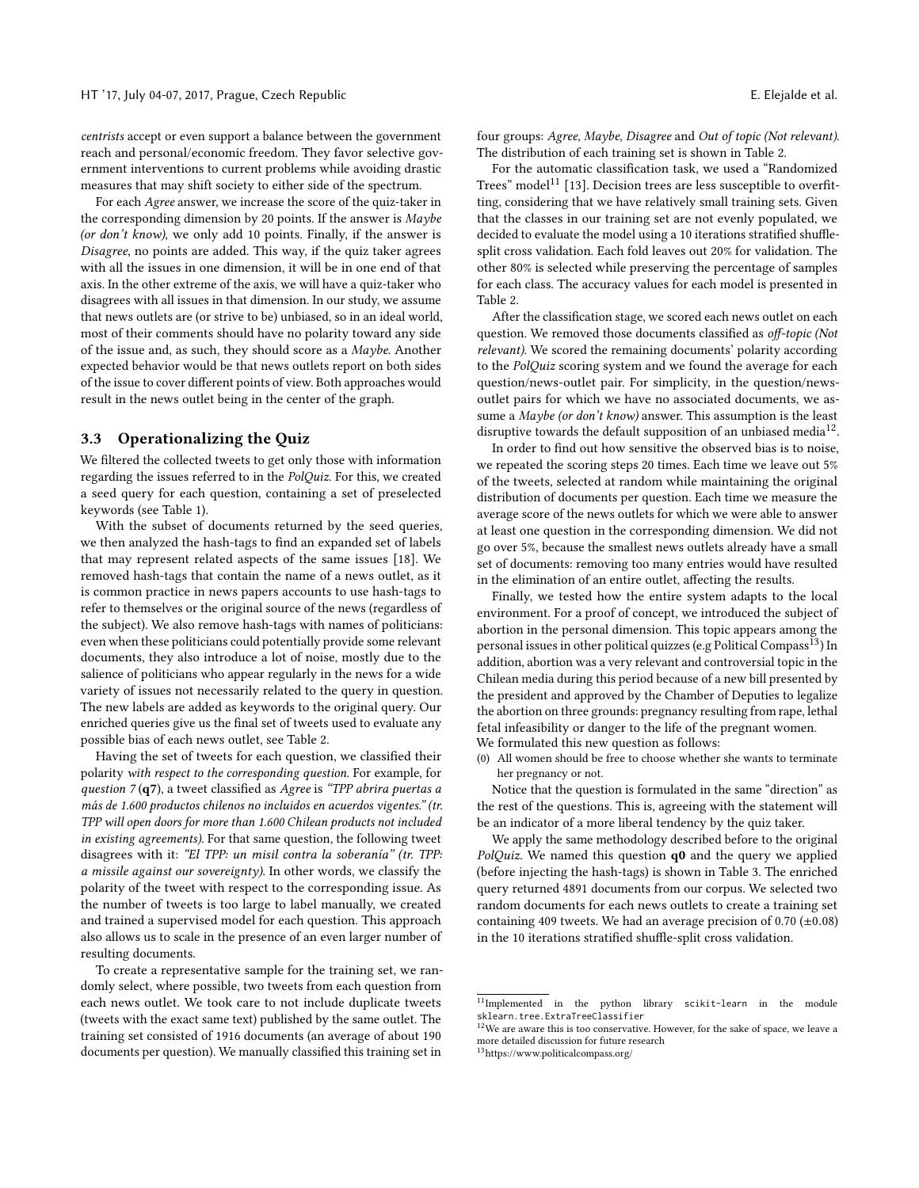centrists accept or even support a balance between the government reach and personal/economic freedom. They favor selective government interventions to current problems while avoiding drastic measures that may shift society to either side of the spectrum.

For each Agree answer, we increase the score of the quiz-taker in the corresponding dimension by 20 points. If the answer is Maybe (or don't know), we only add 10 points. Finally, if the answer is Disagree, no points are added. This way, if the quiz taker agrees with all the issues in one dimension, it will be in one end of that axis. In the other extreme of the axis, we will have a quiz-taker who disagrees with all issues in that dimension. In our study, we assume that news outlets are (or strive to be) unbiased, so in an ideal world, most of their comments should have no polarity toward any side of the issue and, as such, they should score as a Maybe. Another expected behavior would be that news outlets report on both sides of the issue to cover different points of view. Both approaches would result in the news outlet being in the center of the graph.

#### <span id="page-3-3"></span>3.3 Operationalizing the Quiz

We filtered the collected tweets to get only those with information regarding the issues referred to in the PolQuiz. For this, we created a seed query for each question, containing a set of preselected keywords (see Table [1\)](#page-4-1).

With the subset of documents returned by the seed queries, we then analyzed the hash-tags to find an expanded set of labels that may represent related aspects of the same issues [\[18\]](#page-9-21). We removed hash-tags that contain the name of a news outlet, as it is common practice in news papers accounts to use hash-tags to refer to themselves or the original source of the news (regardless of the subject). We also remove hash-tags with names of politicians: even when these politicians could potentially provide some relevant documents, they also introduce a lot of noise, mostly due to the salience of politicians who appear regularly in the news for a wide variety of issues not necessarily related to the query in question. The new labels are added as keywords to the original query. Our enriched queries give us the final set of tweets used to evaluate any possible bias of each news outlet, see Table [2.](#page-4-2)

Having the set of tweets for each question, we classified their polarity with respect to the corresponding question. For example, for question  $7$  (q7), a tweet classified as Agree is "TPP abrira puertas a más de 1.600 productos chilenos no incluidos en acuerdos vigentes." (tr. TPP will open doors for more than 1.600 Chilean products not included in existing agreements). For that same question, the following tweet disagrees with it: "El TPP: un misil contra la soberanía" (tr. TPP: a missile against our sovereignty). In other words, we classify the polarity of the tweet with respect to the corresponding issue. As the number of tweets is too large to label manually, we created and trained a supervised model for each question. This approach also allows us to scale in the presence of an even larger number of resulting documents.

To create a representative sample for the training set, we randomly select, where possible, two tweets from each question from each news outlet. We took care to not include duplicate tweets (tweets with the exact same text) published by the same outlet. The training set consisted of 1916 documents (an average of about 190 documents per question). We manually classified this training set in

four groups: Agree, Maybe, Disagree and Out of topic (Not relevant). The distribution of each training set is shown in Table [2.](#page-4-2)

For the automatic classification task, we used a "Randomized Trees" model<sup>[11](#page-3-0)</sup> [\[13\]](#page-9-27). Decision trees are less susceptible to overfitting, considering that we have relatively small training sets. Given that the classes in our training set are not evenly populated, we decided to evaluate the model using a 10 iterations stratified shufflesplit cross validation. Each fold leaves out 20% for validation. The other 80% is selected while preserving the percentage of samples for each class. The accuracy values for each model is presented in Table [2.](#page-4-2)

After the classification stage, we scored each news outlet on each question. We removed those documents classified as off-topic (Not relevant). We scored the remaining documents' polarity according to the PolQuiz scoring system and we found the average for each question/news-outlet pair. For simplicity, in the question/newsoutlet pairs for which we have no associated documents, we assume a Maybe (or don't know) answer. This assumption is the least disruptive towards the default supposition of an unbiased media $^{12}$  $^{12}$  $^{12}$ .

In order to find out how sensitive the observed bias is to noise, we repeated the scoring steps 20 times. Each time we leave out 5% of the tweets, selected at random while maintaining the original distribution of documents per question. Each time we measure the average score of the news outlets for which we were able to answer at least one question in the corresponding dimension. We did not go over 5%, because the smallest news outlets already have a small set of documents: removing too many entries would have resulted in the elimination of an entire outlet, affecting the results.

Finally, we tested how the entire system adapts to the local environment. For a proof of concept, we introduced the subject of abortion in the personal dimension. This topic appears among the personal issues in other political quizzes (e.g Political Compass<sup>[13](#page-3-2)</sup>) In addition, abortion was a very relevant and controversial topic in the Chilean media during this period because of a new bill presented by the president and approved by the Chamber of Deputies to legalize the abortion on three grounds: pregnancy resulting from rape, lethal fetal infeasibility or danger to the life of the pregnant women. We formulated this new question as follows:

(0) All women should be free to choose whether she wants to terminate her pregnancy or not.

Notice that the question is formulated in the same "direction" as the rest of the questions. This is, agreeing with the statement will be an indicator of a more liberal tendency by the quiz taker.

We apply the same methodology described before to the original PolQuiz. We named this question  $q0$  and the query we applied (before injecting the hash-tags) is shown in Table [3.](#page-4-3) The enriched query returned 4891 documents from our corpus. We selected two random documents for each news outlets to create a training set containing 409 tweets. We had an average precision of 0.70  $(\pm 0.08)$ in the 10 iterations stratified shuffle-split cross validation.

<span id="page-3-0"></span><sup>&</sup>lt;sup>11</sup>Implemented in the python library scikit-learn in the module sklearn.tree.ExtraTreeClassifier

<span id="page-3-1"></span> $12$ We are aware this is too conservative. However, for the sake of space, we leave a more detailed discussion for future research

<span id="page-3-2"></span><sup>13</sup><https://www.politicalcompass.org/>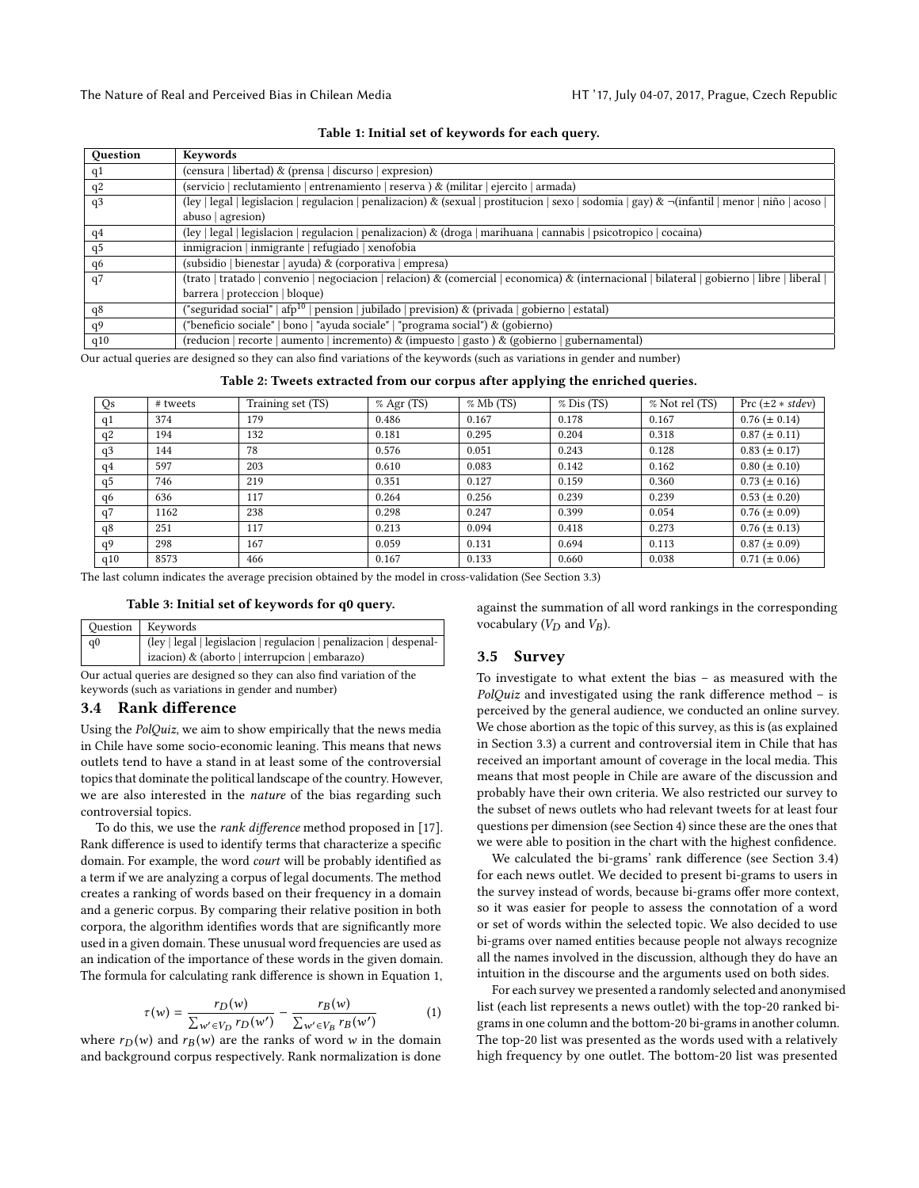|  |  | Table 1: Initial set of keywords for each query. |  |  |  |
|--|--|--------------------------------------------------|--|--|--|
|  |  |                                                  |  |  |  |

<span id="page-4-1"></span>

| Ouestion       | Keywords                                                                                                                                           |  |  |  |  |  |
|----------------|----------------------------------------------------------------------------------------------------------------------------------------------------|--|--|--|--|--|
| q1             | $(censura   libertad) & (prensa   discurso   expression)$                                                                                          |  |  |  |  |  |
| q2             | (servicio   reclutamiento   entrenamiento   reserva ) & (militar   ejercito   armada)                                                              |  |  |  |  |  |
| q <sub>3</sub> | (ley   legal   legislacion   regulacion   penalizacion) & (sexual   prostitucion   sexo   sodomia   gay) & $\neg$ (infantil   menor   niño   acoso |  |  |  |  |  |
|                | abuso   agresion)                                                                                                                                  |  |  |  |  |  |
| q <sub>4</sub> | (ley   legal   legislacion   regulacion   penalizacion) & (droga   marihuana   cannabis   psicotropico   cocaina)                                  |  |  |  |  |  |
| q <sub>5</sub> | inmigracion   inmigrante   refugiado   xenofobia                                                                                                   |  |  |  |  |  |
| q6             | (subsidio   bienestar   ayuda) & (corporativa   empresa)                                                                                           |  |  |  |  |  |
| q7             | (trato   tratado   convenio   negociacion   relacion) & (comercial   economica) & (internacional   bilateral   gobierno   libre   liberal          |  |  |  |  |  |
|                | barrera   proteccion   bloque)                                                                                                                     |  |  |  |  |  |
| q8             | ("seguridad social"   afp <sup>10</sup>   pension   jubilado   prevision) & (privada   gobierno   estatal)                                         |  |  |  |  |  |
| q <sup>9</sup> | ("beneficio sociale"   bono   "ayuda sociale"   "programa social") & (gobierno)                                                                    |  |  |  |  |  |
| q10            | (reducion   recorte   aumento   incremento) & (impuesto   gasto ) & (gobierno   gubernamental)                                                     |  |  |  |  |  |

<span id="page-4-2"></span>Our actual queries are designed so they can also find variations of the keywords (such as variations in gender and number)

| Table 2: Tweets extracted from our corpus after applying the enriched queries. |  |  |  |
|--------------------------------------------------------------------------------|--|--|--|
|                                                                                |  |  |  |

| Qs             | # tweets | Training set (TS) | $%$ Agr (TS) | $\%$ Mb (TS) | $%$ Dis (TS) | % Not rel (TS) | Prc $(\pm 2 * stdev)$ |
|----------------|----------|-------------------|--------------|--------------|--------------|----------------|-----------------------|
| q1             | 374      | 179               | 0.486        | 0.167        | 0.178        | 0.167          | $0.76 \ (\pm 0.14)$   |
| q2             | 194      | 132               | 0.181        | 0.295        | 0.204        | 0.318          | $0.87 (\pm 0.11)$     |
| q <sub>3</sub> | 144      | 78                | 0.576        | 0.051        | 0.243        | 0.128          | $0.83 \ (\pm 0.17)$   |
| q <sub>4</sub> | 597      | 203               | 0.610        | 0.083        | 0.142        | 0.162          | $0.80 (\pm 0.10)$     |
| q <sub>5</sub> | 746      | 219               | 0.351        | 0.127        | 0.159        | 0.360          | $0.73 \ (\pm 0.16)$   |
| q6             | 636      | 117               | 0.264        | 0.256        | 0.239        | 0.239          | $0.53 \ (\pm 0.20)$   |
| q7             | 1162     | 238               | 0.298        | 0.247        | 0.399        | 0.054          | $0.76 (\pm 0.09)$     |
| q8             | 251      | 117               | 0.213        | 0.094        | 0.418        | 0.273          | $0.76 \ (\pm 0.13)$   |
| q <sub>9</sub> | 298      | 167               | 0.059        | 0.131        | 0.694        | 0.113          | $0.87 (\pm 0.09)$     |
| q10            | 8573     | 466               | 0.167        | 0.133        | 0.660        | 0.038          | $0.71 (\pm 0.06)$     |

<span id="page-4-3"></span>The last column indicates the average precision obtained by the model in cross-validation (See Section [3.3\)](#page-3-3)

Table 3: Initial set of keywords for q0 query.

|                | Question   Keywords                                                                                                 |
|----------------|---------------------------------------------------------------------------------------------------------------------|
| q <sub>0</sub> | (ley   legal   legislacion   regulacion   penalizacion   despenal-<br>izacion) & (aborto   interrupcion   embarazo) |

Our actual queries are designed so they can also find variation of the keywords (such as variations in gender and number)

#### <span id="page-4-0"></span>3.4 Rank difference

Using the PolQuiz, we aim to show empirically that the news media in Chile have some socio-economic leaning. This means that news outlets tend to have a stand in at least some of the controversial topics that dominate the political landscape of the country. However, we are also interested in the nature of the bias regarding such controversial topics.

To do this, we use the rank difference method proposed in [\[17\]](#page-9-28). Rank difference is used to identify terms that characterize a specific domain. For example, the word court will be probably identified as a term if we are analyzing a corpus of legal documents. The method creates a ranking of words based on their frequency in a domain and a generic corpus. By comparing their relative position in both corpora, the algorithm identifies words that are significantly more used in a given domain. These unusual word frequencies are used as an indication of the importance of these words in the given domain. The formula for calculating rank difference is shown in Equation [1,](#page-4-4)

<span id="page-4-4"></span>
$$
\tau(w) = \frac{r_D(w)}{\sum_{w' \in V_D} r_D(w')} - \frac{r_B(w)}{\sum_{w' \in V_B} r_B(w')} \tag{1}
$$

where  $r_D(w)$  and  $r_B(w)$  are the ranks of word w in the domain and background corpus respectively. Rank normalization is done

against the summation of all word rankings in the corresponding vocabulary ( $V_D$  and  $V_B$ ).

#### <span id="page-4-5"></span>3.5 Survey

To investigate to what extent the bias – as measured with the PolQuiz and investigated using the rank difference method - is perceived by the general audience, we conducted an online survey. We chose abortion as the topic of this survey, as this is (as explained in Section [3.3\)](#page-3-3) a current and controversial item in Chile that has received an important amount of coverage in the local media. This means that most people in Chile are aware of the discussion and probably have their own criteria. We also restricted our survey to the subset of news outlets who had relevant tweets for at least four questions per dimension (see Section [4\)](#page-5-0) since these are the ones that we were able to position in the chart with the highest confidence.

We calculated the bi-grams' rank difference (see Section [3.4\)](#page-4-0) for each news outlet. We decided to present bi-grams to users in the survey instead of words, because bi-grams offer more context, so it was easier for people to assess the connotation of a word or set of words within the selected topic. We also decided to use bi-grams over named entities because people not always recognize all the names involved in the discussion, although they do have an intuition in the discourse and the arguments used on both sides.

For each survey we presented a randomly selected and anonymised list (each list represents a news outlet) with the top-20 ranked bigrams in one column and the bottom-20 bi-grams in another column. The top-20 list was presented as the words used with a relatively high frequency by one outlet. The bottom-20 list was presented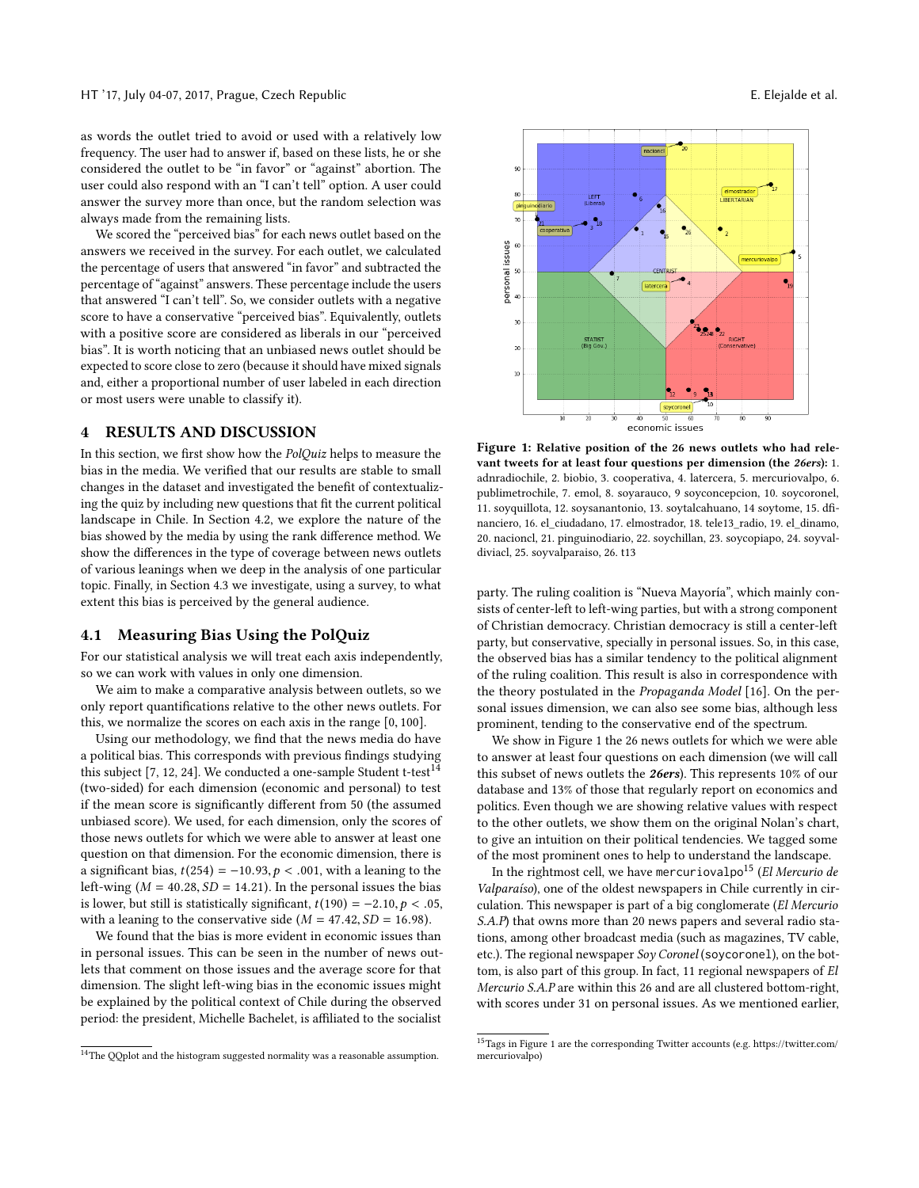as words the outlet tried to avoid or used with a relatively low frequency. The user had to answer if, based on these lists, he or she considered the outlet to be "in favor" or "against" abortion. The user could also respond with an "I can't tell" option. A user could answer the survey more than once, but the random selection was always made from the remaining lists.

We scored the "perceived bias" for each news outlet based on the answers we received in the survey. For each outlet, we calculated the percentage of users that answered "in favor" and subtracted the percentage of "against" answers. These percentage include the users that answered "I can't tell". So, we consider outlets with a negative score to have a conservative "perceived bias". Equivalently, outlets with a positive score are considered as liberals in our "perceived bias". It is worth noticing that an unbiased news outlet should be expected to score close to zero (because it should have mixed signals and, either a proportional number of user labeled in each direction or most users were unable to classify it).

## <span id="page-5-0"></span>4 RESULTS AND DISCUSSION

In this section, we first show how the PolQuiz helps to measure the bias in the media. We verified that our results are stable to small changes in the dataset and investigated the benefit of contextualizing the quiz by including new questions that fit the current political landscape in Chile. In Section [4.2,](#page-6-0) we explore the nature of the bias showed by the media by using the rank difference method. We show the differences in the type of coverage between news outlets of various leanings when we deep in the analysis of one particular topic. Finally, in Section [4.3](#page-7-0) we investigate, using a survey, to what extent this bias is perceived by the general audience.

### 4.1 Measuring Bias Using the PolQuiz

For our statistical analysis we will treat each axis independently, so we can work with values in only one dimension.

We aim to make a comparative analysis between outlets, so we only report quantifications relative to the other news outlets. For this, we normalize the scores on each axis in the range [0, 100].

Using our methodology, we find that the news media do have a political bias. This corresponds with previous findings studying this subject [\[7,](#page-9-2) [12,](#page-9-10) [24\]](#page-9-4). We conducted a one-sample Student t-test<sup>[14](#page-5-1)</sup> (two-sided) for each dimension (economic and personal) to test if the mean score is significantly different from 50 (the assumed unbiased score). We used, for each dimension, only the scores of those news outlets for which we were able to answer at least one question on that dimension. For the economic dimension, there is a significant bias,  $t(254) = -10.93$ ,  $p < .001$ , with a leaning to the left-wing  $(M = 40.28, SD = 14.21)$ . In the personal issues the bias is lower, but still is statistically significant,  $t(190) = -2.10, p < .05$ , with a leaning to the conservative side ( $M = 47.42$ ,  $SD = 16.98$ ).

We found that the bias is more evident in economic issues than in personal issues. This can be seen in the number of news outlets that comment on those issues and the average score for that dimension. The slight left-wing bias in the economic issues might be explained by the political context of Chile during the observed period: the president, Michelle Bachelet, is affiliated to the socialist

<span id="page-5-1"></span>

<span id="page-5-2"></span>

Figure 1: Relative position of the 26 news outlets who had relevant tweets for at least four questions per dimension (the 26ers): 1. adnradiochile, 2. biobio, 3. cooperativa, 4. latercera, 5. mercuriovalpo, 6. publimetrochile, 7. emol, 8. soyarauco, 9 soyconcepcion, 10. soycoronel, 11. soyquillota, 12. soysanantonio, 13. soytalcahuano, 14 soytome, 15. dfinanciero, 16. el ciudadano, 17. elmostrador, 18. tele13 radio, 19. el dinamo, 20. nacioncl, 21. pinguinodiario, 22. soychillan, 23. soycopiapo, 24. soyvaldiviacl, 25. soyvalparaiso, 26. t13

party. The ruling coalition is "Nueva Mayoría", which mainly consists of center-left to left-wing parties, but with a strong component of Christian democracy. Christian democracy is still a center-left party, but conservative, specially in personal issues. So, in this case, the observed bias has a similar tendency to the political alignment of the ruling coalition. This result is also in correspondence with the theory postulated in the Propaganda Model [\[16\]](#page-9-1). On the personal issues dimension, we can also see some bias, although less prominent, tending to the conservative end of the spectrum.

We show in Figure [1](#page-5-2) the 26 news outlets for which we were able to answer at least four questions on each dimension (we will call this subset of news outlets the 26ers). This represents 10% of our database and 13% of those that regularly report on economics and politics. Even though we are showing relative values with respect to the other outlets, we show them on the original Nolan's chart, to give an intuition on their political tendencies. We tagged some of the most prominent ones to help to understand the landscape.

In the rightmost cell, we have mercuriovalpo<sup>[15](#page-5-3)</sup> (El Mercurio de Valparaíso), one of the oldest newspapers in Chile currently in circulation. This newspaper is part of a big conglomerate (El Mercurio S.A.P) that owns more than 20 news papers and several radio stations, among other broadcast media (such as magazines, TV cable, etc.). The regional newspaper Soy Coronel (soycoronel), on the bottom, is also part of this group. In fact, 11 regional newspapers of El Mercurio S.A.P are within this 26 and are all clustered bottom-right, with scores under 31 on personal issues. As we mentioned earlier,

<span id="page-5-3"></span> $^{15}\mathrm{Tags}$  in Figure [1](#page-5-2) are the corresponding Twitter accounts (e.g. [https://twitter.com/](https://twitter.com/mercuriovalpo) [mercuriovalpo\)](https://twitter.com/mercuriovalpo)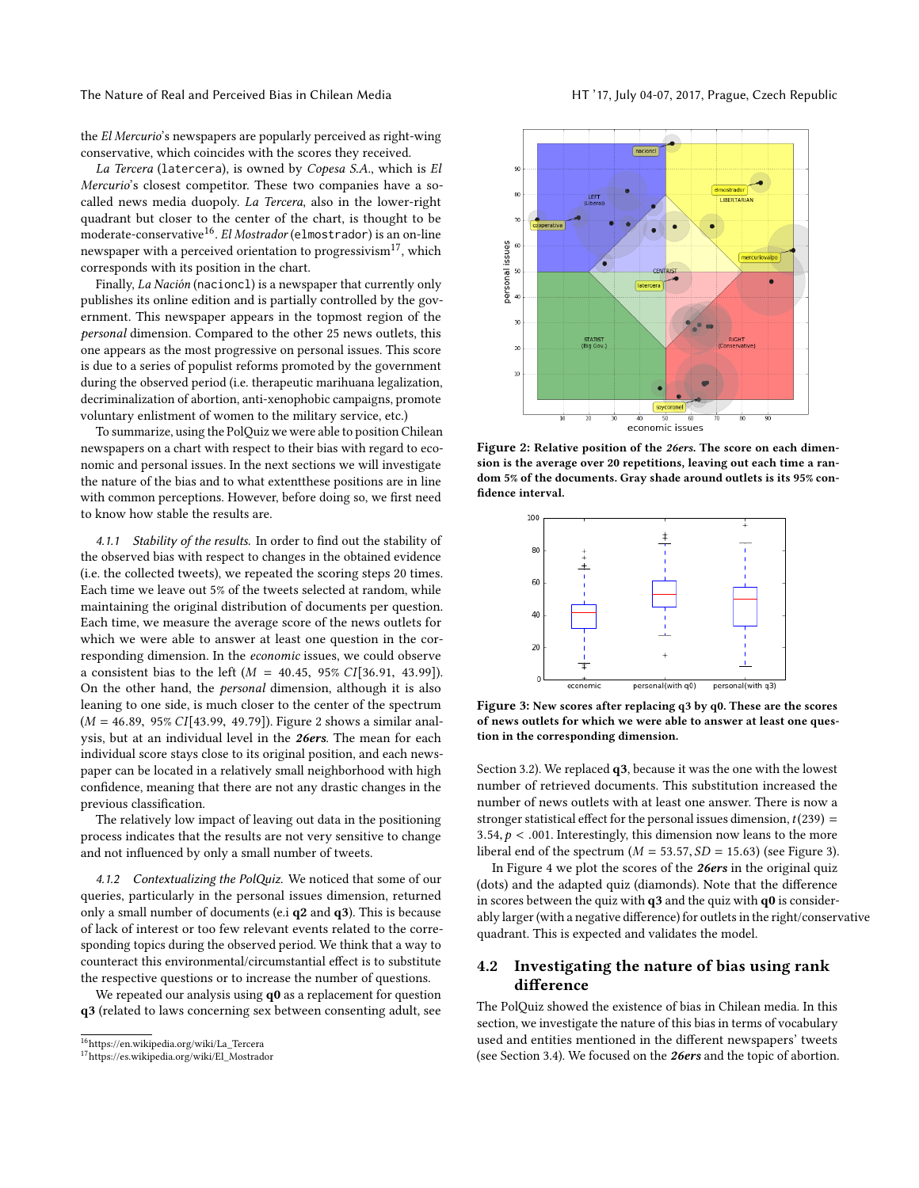The Nature of Real and Perceived Bias in Chilean Media HT 17, July 04-07, 2017, Prague, Czech Republic

the El Mercurio's newspapers are popularly perceived as right-wing conservative, which coincides with the scores they received.

La Tercera (latercera), is owned by Copesa S.A., which is El Mercurio's closest competitor. These two companies have a socalled news media duopoly. La Tercera, also in the lower-right quadrant but closer to the center of the chart, is thought to be moderate-conservative<sup>[16](#page-6-1)</sup>. El Mostrador (elmostrador) is an on-line newspaper with a perceived orientation to progressivism<sup>[17](#page-6-2)</sup>, which corresponds with its position in the chart.

Finally, La Nación (nacioncl) is a newspaper that currently only publishes its online edition and is partially controlled by the government. This newspaper appears in the topmost region of the personal dimension. Compared to the other 25 news outlets, this one appears as the most progressive on personal issues. This score is due to a series of populist reforms promoted by the government during the observed period (i.e. therapeutic marihuana legalization, decriminalization of abortion, anti-xenophobic campaigns, promote voluntary enlistment of women to the military service, etc.)

To summarize, using the PolQuiz we were able to position Chilean newspapers on a chart with respect to their bias with regard to economic and personal issues. In the next sections we will investigate the nature of the bias and to what extentthese positions are in line with common perceptions. However, before doing so, we first need to know how stable the results are.

4.1.1 Stability of the results. In order to find out the stability of the observed bias with respect to changes in the obtained evidence (i.e. the collected tweets), we repeated the scoring steps 20 times. Each time we leave out 5% of the tweets selected at random, while maintaining the original distribution of documents per question. Each time, we measure the average score of the news outlets for which we were able to answer at least one question in the corresponding dimension. In the economic issues, we could observe a consistent bias to the left ( $M = 40.45, 95\% CI[36.91, 43.99]$ ). On the other hand, the personal dimension, although it is also leaning to one side, is much closer to the center of the spectrum  $(M = 46.89, 95\% CI[43.99, 49.79])$ . Figure [2](#page-6-3) shows a similar analysis, but at an individual level in the 26ers. The mean for each individual score stays close to its original position, and each newspaper can be located in a relatively small neighborhood with high confidence, meaning that there are not any drastic changes in the previous classification.

The relatively low impact of leaving out data in the positioning process indicates that the results are not very sensitive to change and not influenced by only a small number of tweets.

4.1.2 Contextualizing the PolQuiz. We noticed that some of our queries, particularly in the personal issues dimension, returned only a small number of documents (e.i q2 and q3). This is because of lack of interest or too few relevant events related to the corresponding topics during the observed period. We think that a way to counteract this environmental/circumstantial effect is to substitute the respective questions or to increase the number of questions.

We repeated our analysis using **q0** as a replacement for question q3 (related to laws concerning sex between consenting adult, see

<span id="page-6-3"></span>

Figure 2: Relative position of the 26ers. The score on each dimension is the average over 20 repetitions, leaving out each time a random 5% of the documents. Gray shade around outlets is its 95% confidence interval.

<span id="page-6-4"></span>

Figure 3: New scores after replacing q3 by q0. These are the scores of news outlets for which we were able to answer at least one question in the corresponding dimension.

Section [3.2\)](#page-2-3). We replaced q3, because it was the one with the lowest number of retrieved documents. This substitution increased the number of news outlets with at least one answer. There is now a stronger statistical effect for the personal issues dimension,  $t(239) =$ 3.54,  $p < .001$ . Interestingly, this dimension now leans to the more liberal end of the spectrum ( $M = 53.57$ ,  $SD = 15.63$ ) (see Figure [3\)](#page-6-4).

In Figure [4](#page-7-1) we plot the scores of the 26ers in the original quiz (dots) and the adapted quiz (diamonds). Note that the difference in scores between the quiz with  $q3$  and the quiz with  $q0$  is considerably larger (with a negative difference) for outlets in the right/conservative quadrant. This is expected and validates the model.

# <span id="page-6-0"></span>4.2 Investigating the nature of bias using rank difference

The PolQuiz showed the existence of bias in Chilean media. In this section, we investigate the nature of this bias in terms of vocabulary used and entities mentioned in the different newspapers' tweets (see Section [3.4\)](#page-4-0). We focused on the 26ers and the topic of abortion.

<span id="page-6-1"></span> $\rm ^{16}https://en.wikipedia.org/wiki/La_Tercera$  $\rm ^{16}https://en.wikipedia.org/wiki/La_Tercera$ 

<span id="page-6-2"></span><sup>17</sup>[https://es.wikipedia.org/wiki/El\\_Mostrador](https://es.wikipedia.org/wiki/El_Mostrador)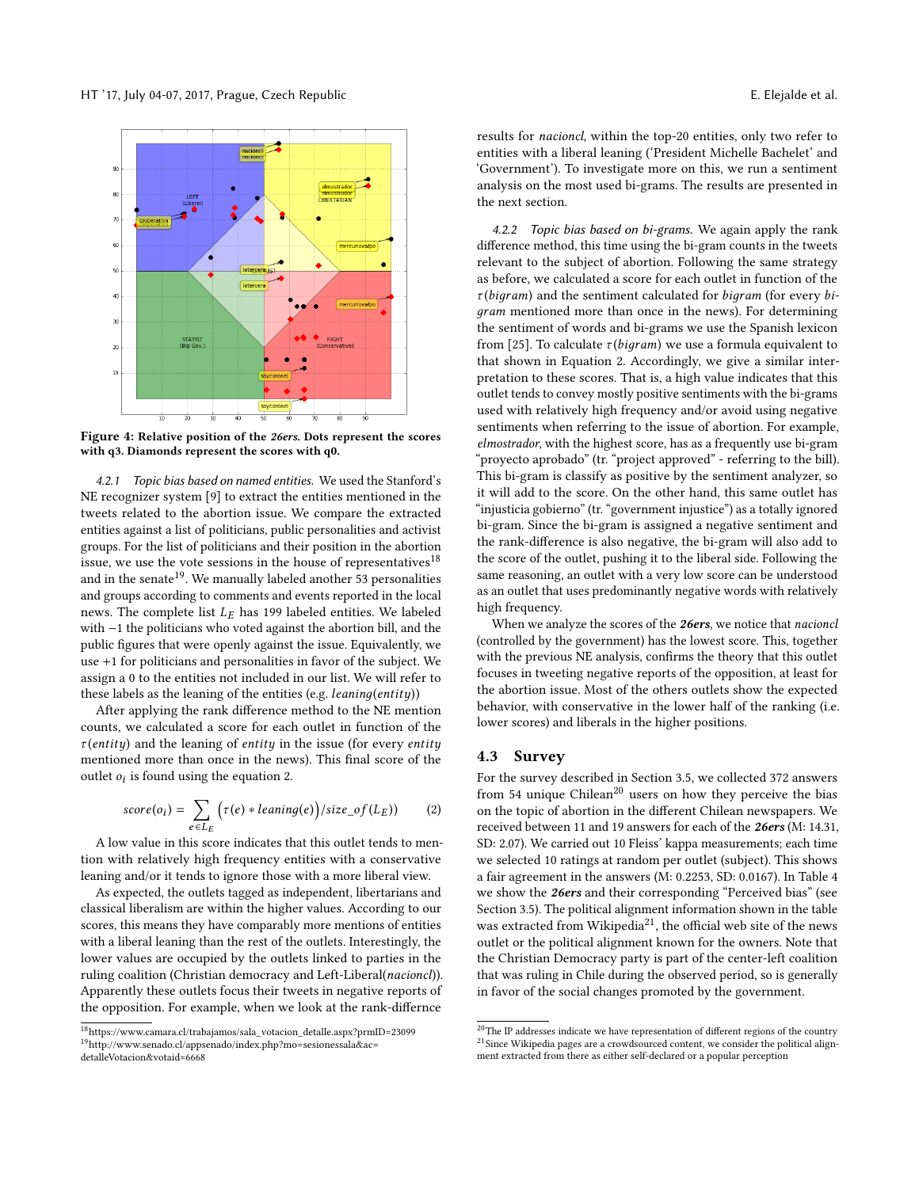<span id="page-7-1"></span>

Figure 4: Relative position of the 26ers. Dots represent the scores with q3. Diamonds represent the scores with q0.

4.2.1 Topic bias based on named entities. We used the Stanford's NE recognizer system [\[9\]](#page-9-29) to extract the entities mentioned in the tweets related to the abortion issue. We compare the extracted entities against a list of politicians, public personalities and activist groups. For the list of politicians and their position in the abortion issue, we use the vote sessions in the house of representatives<sup>[18](#page-7-2)</sup> and in the senate $19$ . We manually labeled another 53 personalities and groups according to comments and events reported in the local news. The complete list  $L_E$  has 199 labeled entities. We labeled with −1 the politicians who voted against the abortion bill, and the public figures that were openly against the issue. Equivalently, we use +1 for politicians and personalities in favor of the subject. We assign a 0 to the entities not included in our list. We will refer to these labels as the leaning of the entities (e.g. leaning(entity))

After applying the rank difference method to the NE mention counts, we calculated a score for each outlet in function of the  $\tau$ (entity) and the leaning of entity in the issue (for every entity mentioned more than once in the news). This final score of the outlet  $o_i$  is found using the equation [2.](#page-7-4)

<span id="page-7-4"></span>
$$
score(o_i) = \sum_{e \in L_E} (\tau(e) * learning(e)) / size\_of(L_E))
$$
 (2)

A low value in this score indicates that this outlet tends to mention with relatively high frequency entities with a conservative leaning and/or it tends to ignore those with a more liberal view.

As expected, the outlets tagged as independent, libertarians and classical liberalism are within the higher values. According to our scores, this means they have comparably more mentions of entities with a liberal leaning than the rest of the outlets. Interestingly, the lower values are occupied by the outlets linked to parties in the ruling coalition (Christian democracy and Left-Liberal(nacioncl)). Apparently these outlets focus their tweets in negative reports of the opposition. For example, when we look at the rank-differnce

results for nacioncl, within the top-20 entities, only two refer to entities with a liberal leaning ('President Michelle Bachelet' and 'Government'). To investigate more on this, we run a sentiment analysis on the most used bi-grams. The results are presented in the next section.

4.2.2 Topic bias based on bi-grams. We again apply the rank difference method, this time using the bi-gram counts in the tweets relevant to the subject of abortion. Following the same strategy as before, we calculated a score for each outlet in function of the  $\tau(bigram)$  and the sentiment calculated for bigram (for every biдram mentioned more than once in the news). For determining the sentiment of words and bi-grams we use the Spanish lexicon from [\[25\]](#page-9-30). To calculate  $\tau(bigram)$  we use a formula equivalent to that shown in Equation [2.](#page-7-4) Accordingly, we give a similar interpretation to these scores. That is, a high value indicates that this outlet tends to convey mostly positive sentiments with the bi-grams used with relatively high frequency and/or avoid using negative sentiments when referring to the issue of abortion. For example, elmostrador, with the highest score, has as a frequently use bi-gram "proyecto aprobado" (tr. "project approved" - referring to the bill). This bi-gram is classify as positive by the sentiment analyzer, so it will add to the score. On the other hand, this same outlet has "injusticia gobierno" (tr. "government injustice") as a totally ignored bi-gram. Since the bi-gram is assigned a negative sentiment and the rank-difference is also negative, the bi-gram will also add to the score of the outlet, pushing it to the liberal side. Following the same reasoning, an outlet with a very low score can be understood as an outlet that uses predominantly negative words with relatively high frequency.

When we analyze the scores of the 26ers, we notice that nacioncl (controlled by the government) has the lowest score. This, together with the previous NE analysis, confirms the theory that this outlet focuses in tweeting negative reports of the opposition, at least for the abortion issue. Most of the others outlets show the expected behavior, with conservative in the lower half of the ranking (i.e. lower scores) and liberals in the higher positions.

#### <span id="page-7-0"></span>4.3 Survey

For the survey described in Section [3.5,](#page-4-5) we collected 372 answers from 54 unique Chilean<sup>[20](#page-7-5)</sup> users on how they perceive the bias on the topic of abortion in the different Chilean newspapers. We received between 11 and 19 answers for each of the 26ers (M: 14.31, SD: 2.07). We carried out 10 Fleiss' kappa measurements; each time we selected 10 ratings at random per outlet (subject). This shows a fair agreement in the answers (M: 0.2253, SD: 0.0167). In Table [4](#page-8-0) we show the 26ers and their corresponding "Perceived bias" (see Section [3.5\)](#page-4-5). The political alignment information shown in the table was extracted from Wikipedia<sup>[21](#page-7-6)</sup>, the official web site of the news outlet or the political alignment known for the owners. Note that the Christian Democracy party is part of the center-left coalition that was ruling in Chile during the observed period, so is generally in favor of the social changes promoted by the government.

<span id="page-7-3"></span><span id="page-7-2"></span><sup>18</sup>[https://www.camara.cl/trabajamos/sala\\_votacion\\_detalle.aspx?prmID=23099](https://www.camara.cl/trabajamos/sala_votacion_detalle.aspx?prmID=23099) <sup>19</sup>[http://www.senado.cl/appsenado/index.php?mo=sesionessala&ac=](http://www.senado.cl/appsenado/index.php?mo=sesionessala&ac=detalleVotacion&votaid=6668)

[detalleVotacion&votaid=6668](http://www.senado.cl/appsenado/index.php?mo=sesionessala&ac=detalleVotacion&votaid=6668)

<span id="page-7-6"></span><span id="page-7-5"></span> $^\mathrm{20}\mathrm{The}$  IP addresses indicate we have representation of different regions of the country  $^{21}\rm S$ ince Wikipedia pages are a crowdsourced content, we consider the political alignment extracted from there as either self-declared or a popular perception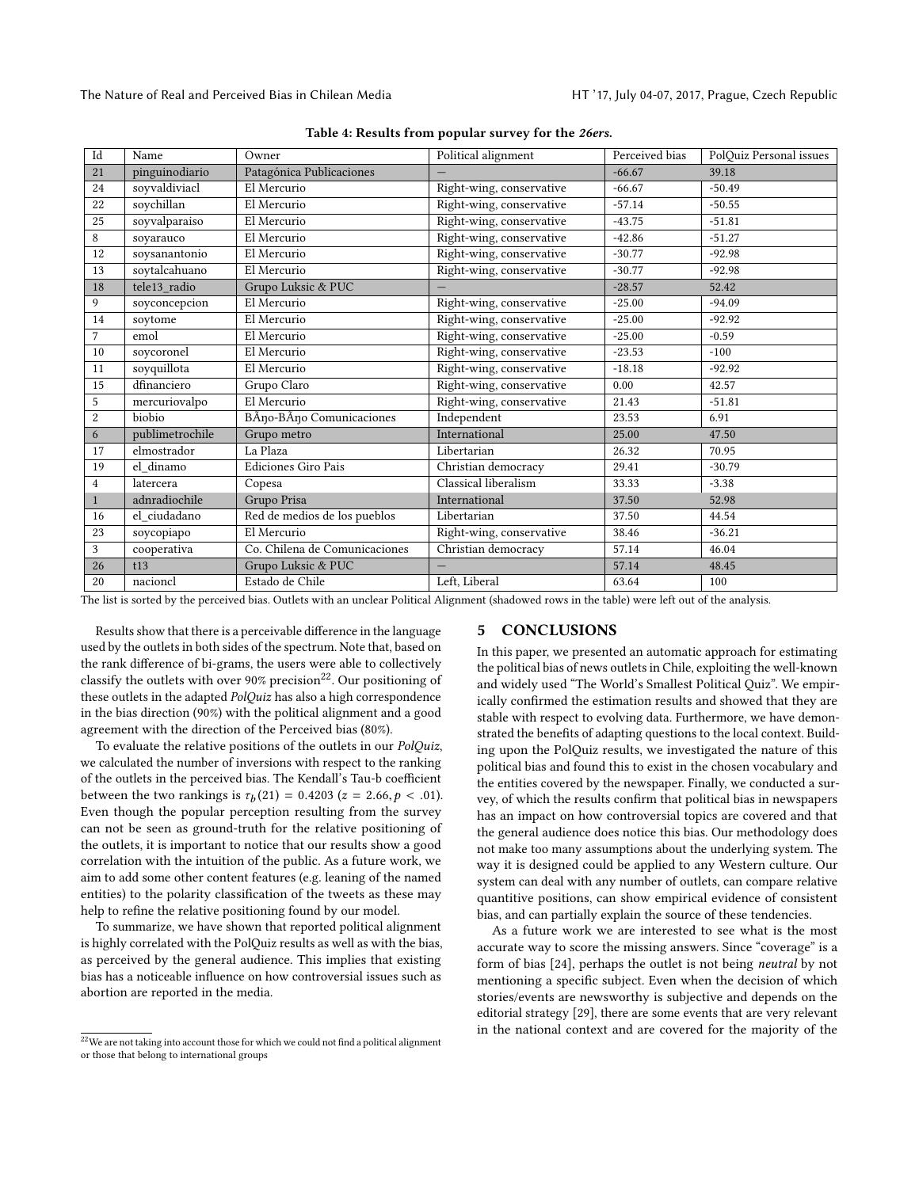<span id="page-8-0"></span>

| Id             | Name            | Owner                         | Political alignment      | Perceived bias | PolQuiz Personal issues |
|----------------|-----------------|-------------------------------|--------------------------|----------------|-------------------------|
| 21             | pinguinodiario  | Patagónica Publicaciones      |                          | $-66.67$       | 39.18                   |
| 24             | soyvaldiviacl   | El Mercurio                   | Right-wing, conservative | $-66.67$       | $-50.49$                |
| 22             | soychillan      | El Mercurio                   | Right-wing, conservative | $-57.14$       | $-50.55$                |
| 25             | soyvalparaiso   | El Mercurio                   | Right-wing, conservative | $-43.75$       | $-51.81$                |
| 8              | soyarauco       | El Mercurio                   | Right-wing, conservative | $-42.86$       | $-51.27$                |
| 12             | soysanantonio   | El Mercurio                   | Right-wing, conservative | $-30.77$       | $-92.98$                |
| 13             | soytalcahuano   | El Mercurio                   | Right-wing, conservative | $-30.77$       | $-92.98$                |
| 18             | tele13_radio    | Grupo Luksic & PUC            |                          | $-28.57$       | 52.42                   |
| 9              | soyconcepcion   | El Mercurio                   | Right-wing, conservative | $-25.00$       | $-94.09$                |
| 14             | soytome         | El Mercurio                   | Right-wing, conservative | $-25.00$       | $-92.92$                |
| $\overline{7}$ | emol            | El Mercurio                   | Right-wing, conservative | $-25.00$       | $-0.59$                 |
| 10             | sovcoronel      | El Mercurio                   | Right-wing, conservative | $-23.53$       | $-100$                  |
| 11             | soyquillota     | El Mercurio                   | Right-wing, conservative | $-18.18$       | $-92.92$                |
| 15             | dfinanciero     | Grupo Claro                   | Right-wing, conservative | 0.00           | 42.57                   |
| 5              | mercuriovalpo   | El Mercurio                   | Right-wing, conservative | 21.43          | $-51.81$                |
| $\overline{c}$ | biobio          | BÃno-BÃno Comunicaciones      | Independent              | 23.53          | 6.91                    |
| 6              | publimetrochile | Grupo metro                   | International            | 25.00          | 47.50                   |
| 17             | elmostrador     | La Plaza                      | Libertarian              | 26.32          | 70.95                   |
| 19             | el_dinamo       | <b>Ediciones Giro Pais</b>    | Christian democracy      | 29.41          | $-30.79$                |
| $\overline{4}$ | latercera       | Copesa                        | Classical liberalism     | 33.33          | $-3.38$                 |
| $\mathbf{1}$   | adnradiochile   | Grupo Prisa                   | International            | 37.50          | 52.98                   |
| 16             | el ciudadano    | Red de medios de los pueblos  | Libertarian              | 37.50          | 44.54                   |
| 23             | soycopiapo      | El Mercurio                   | Right-wing, conservative | 38.46          | $-36.21$                |
| 3              | cooperativa     | Co. Chilena de Comunicaciones | Christian democracy      | 57.14          | 46.04                   |
| 26             | t13             | Grupo Luksic & PUC            | $\equiv$                 | 57.14          | 48.45                   |
| 20             | nacionel        | Estado de Chile               | Left, Liberal            | 63.64          | 100                     |

Table 4: Results from popular survey for the 26ers.

The list is sorted by the perceived bias. Outlets with an unclear Political Alignment (shadowed rows in the table) were left out of the analysis.

Results show that there is a perceivable difference in the language used by the outlets in both sides of the spectrum. Note that, based on the rank difference of bi-grams, the users were able to collectively classify the outlets with over 90% precision<sup>[22](#page-8-1)</sup>. Our positioning of these outlets in the adapted PolQuiz has also a high correspondence in the bias direction (90%) with the political alignment and a good agreement with the direction of the Perceived bias (80%).

To evaluate the relative positions of the outlets in our PolQuiz, we calculated the number of inversions with respect to the ranking of the outlets in the perceived bias. The Kendall's Tau-b coefficient between the two rankings is  $\tau_b(21) = 0.4203$  ( $z = 2.66$ ,  $p < .01$ ).<br>Even though the popular perception resulting from the survey Even though the popular perception resulting from the survey can not be seen as ground-truth for the relative positioning of the outlets, it is important to notice that our results show a good correlation with the intuition of the public. As a future work, we aim to add some other content features (e.g. leaning of the named entities) to the polarity classification of the tweets as these may help to refine the relative positioning found by our model.

To summarize, we have shown that reported political alignment is highly correlated with the PolQuiz results as well as with the bias, as perceived by the general audience. This implies that existing bias has a noticeable influence on how controversial issues such as abortion are reported in the media.

#### 5 CONCLUSIONS

In this paper, we presented an automatic approach for estimating the political bias of news outlets in Chile, exploiting the well-known and widely used "The World's Smallest Political Quiz". We empirically confirmed the estimation results and showed that they are stable with respect to evolving data. Furthermore, we have demonstrated the benefits of adapting questions to the local context. Building upon the PolQuiz results, we investigated the nature of this political bias and found this to exist in the chosen vocabulary and the entities covered by the newspaper. Finally, we conducted a survey, of which the results confirm that political bias in newspapers has an impact on how controversial topics are covered and that the general audience does notice this bias. Our methodology does not make too many assumptions about the underlying system. The way it is designed could be applied to any Western culture. Our system can deal with any number of outlets, can compare relative quantitive positions, can show empirical evidence of consistent bias, and can partially explain the source of these tendencies.

As a future work we are interested to see what is the most accurate way to score the missing answers. Since "coverage" is a form of bias [\[24\]](#page-9-4), perhaps the outlet is not being neutral by not mentioning a specific subject. Even when the decision of which stories/events are newsworthy is subjective and depends on the editorial strategy [\[29\]](#page-9-5), there are some events that are very relevant in the national context and are covered for the majority of the

<span id="page-8-1"></span> $22$ We are not taking into account those for which we could not find a political alignment or those that belong to international groups